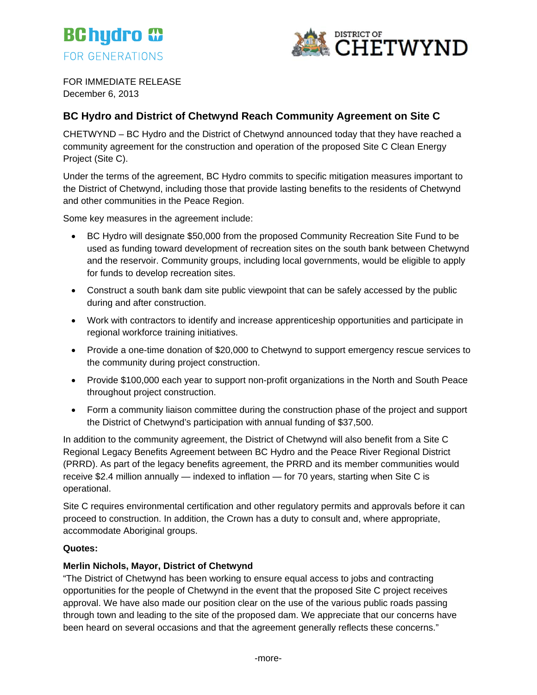



FOR IMMEDIATE RELEASE December 6, 2013

# **BC Hydro and District of Chetwynd Reach Community Agreement on Site C**

CHETWYND – BC Hydro and the District of Chetwynd announced today that they have reached a community agreement for the construction and operation of the proposed Site C Clean Energy Project (Site C).

Under the terms of the agreement, BC Hydro commits to specific mitigation measures important to the District of Chetwynd, including those that provide lasting benefits to the residents of Chetwynd and other communities in the Peace Region.

Some key measures in the agreement include:

- BC Hydro will designate \$50,000 from the proposed Community Recreation Site Fund to be used as funding toward development of recreation sites on the south bank between Chetwynd and the reservoir. Community groups, including local governments, would be eligible to apply for funds to develop recreation sites.
- Construct a south bank dam site public viewpoint that can be safely accessed by the public during and after construction.
- Work with contractors to identify and increase apprenticeship opportunities and participate in regional workforce training initiatives.
- Provide a one-time donation of \$20,000 to Chetwynd to support emergency rescue services to the community during project construction.
- Provide \$100,000 each year to support non-profit organizations in the North and South Peace throughout project construction.
- Form a community liaison committee during the construction phase of the project and support the District of Chetwynd's participation with annual funding of \$37,500.

In addition to the community agreement, the District of Chetwynd will also benefit from a Site C Regional Legacy Benefits Agreement between BC Hydro and the Peace River Regional District (PRRD). As part of the legacy benefits agreement, the PRRD and its member communities would receive \$2.4 million annually — indexed to inflation — for 70 years, starting when Site C is operational.

Site C requires environmental certification and other regulatory permits and approvals before it can proceed to construction. In addition, the Crown has a duty to consult and, where appropriate, accommodate Aboriginal groups.

### **Quotes:**

## **Merlin Nichols, Mayor, District of Chetwynd**

"The District of Chetwynd has been working to ensure equal access to jobs and contracting opportunities for the people of Chetwynd in the event that the proposed Site C project receives approval. We have also made our position clear on the use of the various public roads passing through town and leading to the site of the proposed dam. We appreciate that our concerns have been heard on several occasions and that the agreement generally reflects these concerns."